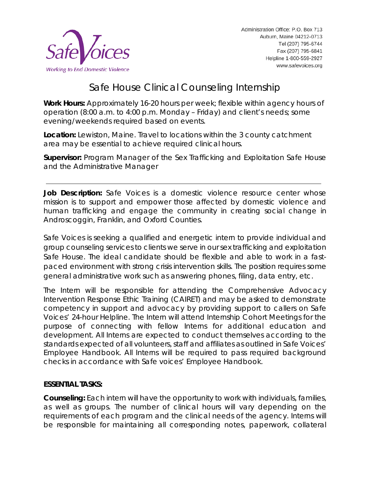

# Safe House Clinical Counseling Internship

**Work Hours:** Approximately 16-20 hours per week; flexible within agency hours of operation (8:00 a.m. to 4:00 p.m. Monday – Friday) and client's needs; some evening/weekends required based on events.

**Location:** Lewiston, Maine. Travel to locations within the 3 county catchment area may be essential to achieve required clinical hours.

**Supervisor:** Program Manager of the Sex Trafficking and Exploitation Safe House and the Administrative Manager

**Job Description:** Safe Voices is a domestic violence resource center whose mission is to support and empower those affected by domestic violence and human trafficking and engage the community in creating social change in Androscoggin, Franklin, and Oxford Counties.

Safe Voices is seeking a qualified and energetic intern to provide individual and group counseling services to clients we serve in our sex trafficking and exploitation Safe House. The ideal candidate should be flexible and able to work in a fastpaced environment with strong crisis intervention skills. The position requires some general administrative work such as answering phones, filing, data entry, etc.

The Intern will be responsible for attending the Comprehensive Advocacy Intervention Response Ethic Training (CAIRET) and may be asked to demonstrate competency in support and advocacy by providing support to callers on Safe Voices' 24-hour Helpline. The Intern will attend Internship Cohort Meetings for the purpose of connecting with fellow Interns for additional education and development. All Interns are expected to conduct themselves according to the standards expected of all volunteers, staff and affiliates as outlined in Safe Voices' Employee Handbook. All Interns will be required to pass required background checks in accordance with Safe voices' Employee Handbook.

# **ESSENTIAL TASKS:**

**Counseling:** Each intern will have the opportunity to work with individuals, families, as well as groups. The number of clinical hours will vary depending on the requirements of each program and the clinical needs of the agency. Interns will be responsible for maintaining all corresponding notes, paperwork, collateral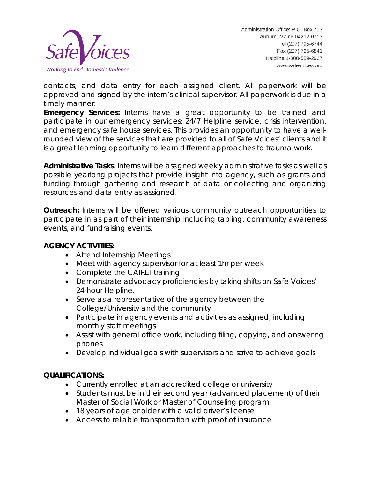

contacts, and data entry for each assigned client. All paperwork will be approved and signed by the intern's clinical supervisor. All paperwork is due in a timely manner.

**Emergency Services:** Interns have a great opportunity to be trained and participate in our emergency services: 24/7 Helpline service, crisis intervention, and emergency safe house services. This provides an opportunity to have a wellrounded view of the services that are provided to all of Safe Voices' clients and it is a great learning opportunity to learn different approaches to trauma work.

**Administrative Tasks**: Interns will be assigned weekly administrative tasks as well as possible yearlong projects that provide insight into agency, such as grants and funding through gathering and research of data or collecting and organizing resources and data entry as assigned.

**Outreach:** Interns will be offered various community outreach opportunities to participate in as part of their internship including tabling, community awareness events, and fundraising events.

# **AGENCY ACTIVITIES:**

- Attend Internship Meetings
- Meet with agency supervisor for at least 1hr per week
- Complete the CAIRET training
- Demonstrate advocacy proficiencies by taking shifts on Safe Voices' 24-hour Helpline.
- Serve as a representative of the agency between the College/University and the community
- Participate in agency events and activities as assigned, including monthly staff meetings
- Assist with general office work, including filing, copying, and answering phones
- Develop individual goals with supervisors and strive to achieve goals

# **QUALIFICATIONS:**

- Currently enrolled at an accredited college or university
- Students must be in their second year (advanced placement) of their Master of Social Work or Master of Counseling program
- 18 years of age or older with a valid driver's license
- Access to reliable transportation with proof of insurance